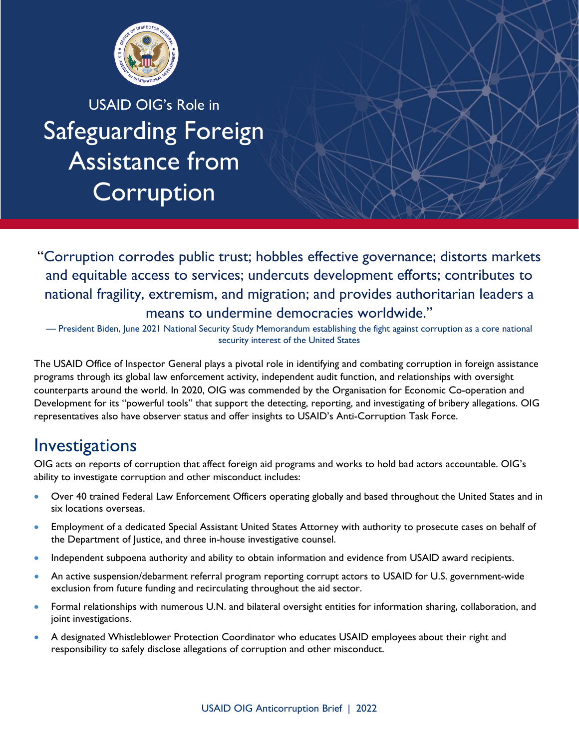

USAID OIG's Role in Safeguarding Foreign Assistance from **Corruption** 

"Corruption corrodes public trust; hobbles effective governance; distorts markets and equitable access to services; undercuts development efforts; contributes to national fragility, extremism, and migration; and provides authoritarian leaders a means to undermine democracies worldwide."<br>President Biden, June 2021 National Security Study Memorandum establishing the fight against corruption as a core national

security interest of the United States

The USAID Office of Inspector General plays a pivotal role in identifying and combating corruption in foreign assistance programs through its global law enforcement activity, independent audit function, and relationships with oversight counterparts around the world. In 2020, OIG was commended by the Organisation for Economic Co-operation and Development for its "powerful tools" that support the detecting, reporting, and investigating of bribery allegations. OIG representatives also have observer status and offer insights to USAID's Anti-Corruption Task Force.

### Investigations

OIG acts on reports of corruption that affect foreign aid programs and works to hold bad actors accountable. OIG's ability to investigate corruption and other misconduct includes:

- Over 40 trained Federal Law Enforcement Officers operating globally and based throughout the United States and in six locations overseas.
- Employment of a dedicated Special Assistant United States Attorney with authority to prosecute cases on behalf of the Department of Justice, and three in-house investigative counsel.
- Independent subpoena authority and ability to obtain information and evidence from USAID award recipients.
- An active suspension/debarment referral program reporting corrupt actors to USAID for U.S. government-wide exclusion from future funding and recirculating throughout the aid sector.
- Formal relationships with numerous U.N. and bilateral oversight entities for information sharing, collaboration, and joint investigations.
- A designated Whistleblower Protection Coordinator who educates USAID employees about their right and responsibility to safely disclose allegations of corruption and other misconduct.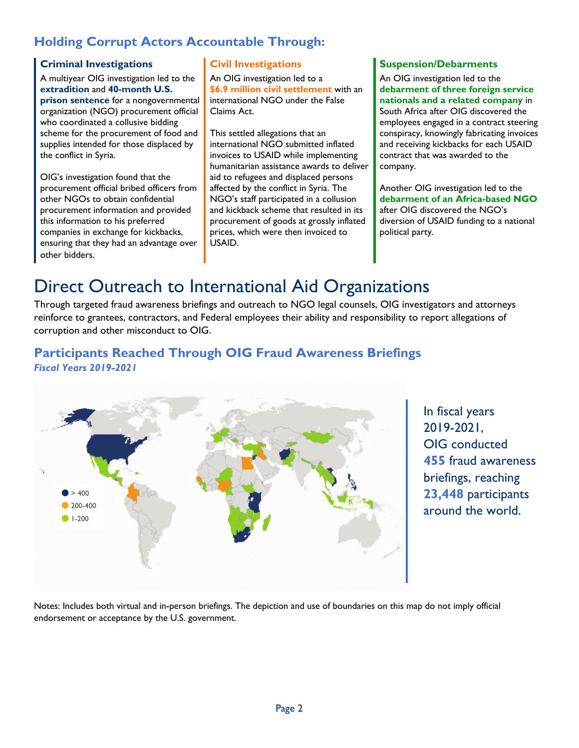### **Holding Corrupt Actors Accountable Through:**

#### **Criminal Investigations**

A multiyear OIG investigation led to the **extradition** and **40-month U.S. prison sentence** for a nongovernmental organization (NGO) procurement official who coordinated a collusive bidding scheme for the procurement of food and supplies intended for those displaced by the conflict in Syria.

OIG's investigation found that the procurement official bribed officers from other NGOs to obtain confidential procurement information and provided this information to his preferred companies in exchange for kickbacks, ensuring that they had an advantage over other bidders.

### **Civil Investigations**

An OIG investigation led to a **\$6.9 million civil settlement** with an international NGO under the False Claims Act.

This settled allegations that an international NGO submitted inflated invoices to USAID while implementing humanitarian assistance awards to deliver aid to refugees and displaced persons affected by the conflict in Syria. The NGO's staff participated in a collusion and kickback scheme that resulted in its procurement of goods at grossly inflated prices, which were then invoiced to USAID.

#### **Suspension/Debarments**

An OIG investigation led to the **debarment of three foreign service nationals and a related company** in South Africa after OIG discovered the employees engaged in a contract steering conspiracy, knowingly fabricating invoices and receiving kickbacks for each USAID contract that was awarded to the company.

Another OIG investigation led to the **debarment of an Africa-based NGO** after OIG discovered the NGO's diversion of USAID funding to a national political party.

## Direct Outreach to International Aid Organizations

Through targeted fraud awareness briefings and outreach to NGO legal counsels, OIG investigators and attorneys reinforce to grantees, contractors, and Federal employees their ability and responsibility to report allegations of corruption and other misconduct to OIG.

### **Participants Reached Through OIG Fraud Awareness Briefings**  *Fiscal Years 2019-2021*



In fiscal years 2019-2021, OIG conducted **455** fraud awareness briefings, reaching **23,448** participants around the world.

Notes: Includes both virtual and in-person briefings. The depiction and use of boundaries on this map do not imply official endorsement or acceptance by the U.S. government.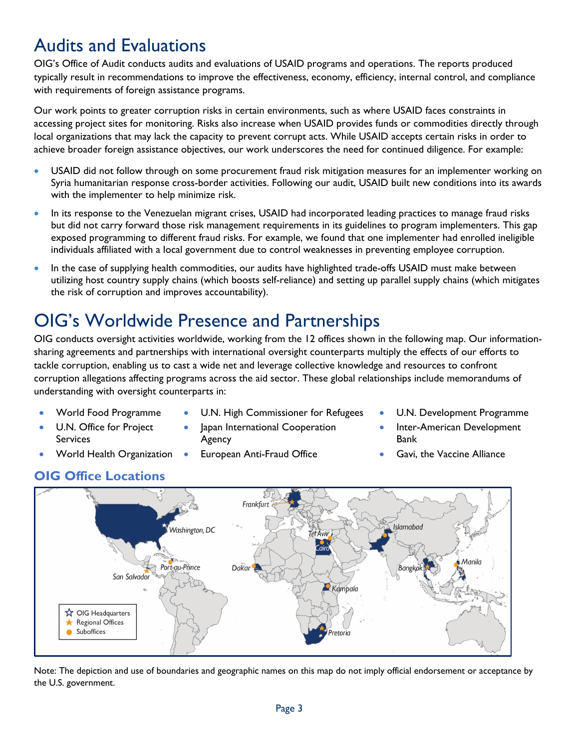## Audits and Evaluations

OIG's Office of Audit conducts audits and evaluations of USAID programs and operations. The reports produced typically result in recommendations to improve the effectiveness, economy, efficiency, internal control, and compliance with requirements of foreign assistance programs.

Our work points to greater corruption risks in certain environments, such as where USAID faces constraints in accessing project sites for monitoring. Risks also increase when USAID provides funds or commodities directly through local organizations that may lack the capacity to prevent corrupt acts. While USAID accepts certain risks in order to achieve broader foreign assistance objectives, our work underscores the need for continued diligence. For example:

- USAID did not follow through on some procurement fraud risk mitigation measures for an implementer working on Syria humanitarian response cross-border activities. Following our audit, USAID built new conditions into its awards with the implementer to help minimize risk.
- In its response to the Venezuelan migrant crises, USAID had incorporated leading practices to manage fraud risks but did not carry forward those risk management requirements in its guidelines to program implementers. This gap exposed programming to different fraud risks. For example, we found that one implementer had enrolled ineligible individuals affiliated with a local government due to control weaknesses in preventing employee corruption.
- In the case of supplying health commodities, our audits have highlighted trade-offs USAID must make between utilizing host country supply chains (which boosts self-reliance) and setting up parallel supply chains (which mitigates the risk of corruption and improves accountability).

# OIG's Worldwide Presence and Partnerships

Agency

OIG conducts oversight activities worldwide, working from the 12 offices shown in the following map. Our informationsharing agreements and partnerships with international oversight counterparts multiply the effects of our efforts to tackle corruption, enabling us to cast a wide net and leverage collective knowledge and resources to confront corruption allegations affecting programs across the aid sector. These global relationships include memorandums of understanding with oversight counterparts in:

- World Food Programme
- U.N. Office for Project **Services**
- World Health Organization
- U.N. High Commissioner for Refugees

• Japan International Cooperation

• European Anti-Fraud Office

- U.N. Development Programme
- Inter-American Development Bank
- Gavi, the Vaccine Alliance

### **OIG Office Locations**



Note: The depiction and use of boundaries and geographic names on this map do not imply official endorsement or acceptance by the U.S. government.